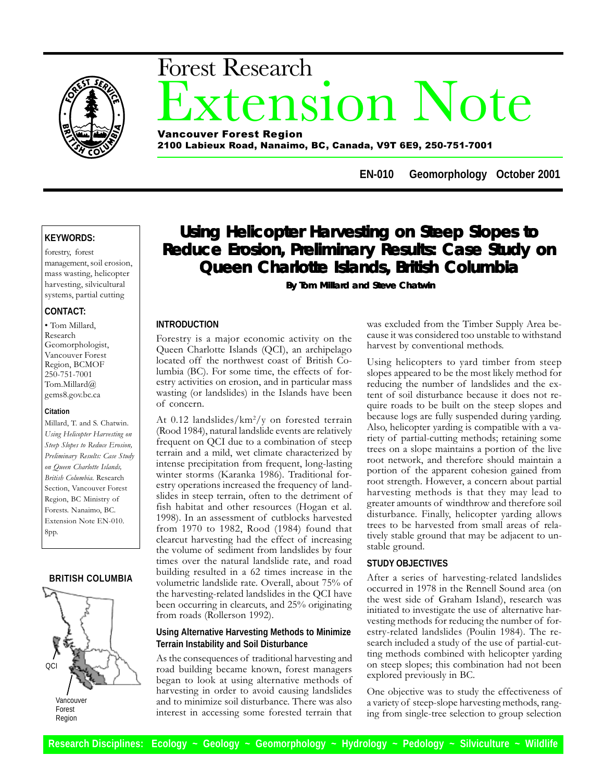

# nsion Note Forest Research Vancouver Forest Region

2100 Labieux Road, Nanaimo, BC, Canada, V9T 6E9, 250-751-7001

**EN-010 Geomorphology October 2001**

# **KEYWORDS:**

forestry, forest management, soil erosion, mass wasting, helicopter harvesting, silvicultural systems, partial cutting

# **CONTACT:**

 Tom Millard, Research Geomorphologist, Vancouver Forest Region, BCMOF 250-751-7001 Tom.Millard@ gems8.gov.bc.ca

#### **Citation**

Millard, T. and S. Chatwin. Using Helicopter Harvesting on Steep Slopes to Reduce Erosion, Preliminary Results: Case Study on Queen Charlotte Islands, British Columbia. Research Section, Vancouver Forest Region, BC Ministry of Forests. Nanaimo, BC. Extension Note EN-010. 8pp.

# **BRITISH COLUMBIA**



Vancouver Forest Region

# **Using Helicopter Harvesting on Steep Slopes to Reduce Erosion, Preliminary Results: Case Study on Queen Charlotte Islands, British Columbia**

 **By Tom Millard and Steve Chatwin**

# **INTRODUCTION**

Forestry is a major economic activity on the Queen Charlotte Islands (QCI), an archipelago located off the northwest coast of British Columbia (BC). For some time, the effects of forestry activities on erosion, and in particular mass wasting (or landslides) in the Islands have been of concern.

At 0.12 landslides/km<sup>2</sup>/y on forested terrain (Rood 1984), natural landslide events are relatively frequent on QCI due to a combination of steep terrain and a mild, wet climate characterized by intense precipitation from frequent, long-lasting winter storms (Karanka 1986). Traditional forestry operations increased the frequency of landslides in steep terrain, often to the detriment of fish habitat and other resources (Hogan et al. 1998). In an assessment of cutblocks harvested from 1970 to 1982, Rood (1984) found that clearcut harvesting had the effect of increasing the volume of sediment from landslides by four times over the natural landslide rate, and road building resulted in a 62 times increase in the volumetric landslide rate. Overall, about 75% of the harvesting-related landslides in the QCI have been occurring in clearcuts, and 25% originating from roads (Rollerson 1992).

# **Using Alternative Harvesting Methods to Minimize Terrain Instability and Soil Disturbance**

As the consequences of traditional harvesting and road building became known, forest managers began to look at using alternative methods of harvesting in order to avoid causing landslides and to minimize soil disturbance. There was also interest in accessing some forested terrain that

was excluded from the Timber Supply Area because it was considered too unstable to withstand harvest by conventional methods.

Using helicopters to yard timber from steep slopes appeared to be the most likely method for reducing the number of landslides and the extent of soil disturbance because it does not require roads to be built on the steep slopes and because logs are fully suspended during yarding. Also, helicopter yarding is compatible with a variety of partial-cutting methods; retaining some trees on a slope maintains a portion of the live root network, and therefore should maintain a portion of the apparent cohesion gained from root strength. However, a concern about partial harvesting methods is that they may lead to greater amounts of windthrow and therefore soil disturbance. Finally, helicopter yarding allows trees to be harvested from small areas of relatively stable ground that may be adjacent to unstable ground.

# **STUDY OBJECTIVES**

After a series of harvesting-related landslides occurred in 1978 in the Rennell Sound area (on the west side of Graham Island), research was initiated to investigate the use of alternative harvesting methods for reducing the number of forestry-related landslides (Poulin 1984). The research included a study of the use of partial-cutting methods combined with helicopter yarding on steep slopes; this combination had not been explored previously in BC.

One objective was to study the effectiveness of a variety of steep-slope harvesting methods, ranging from single-tree selection to group selection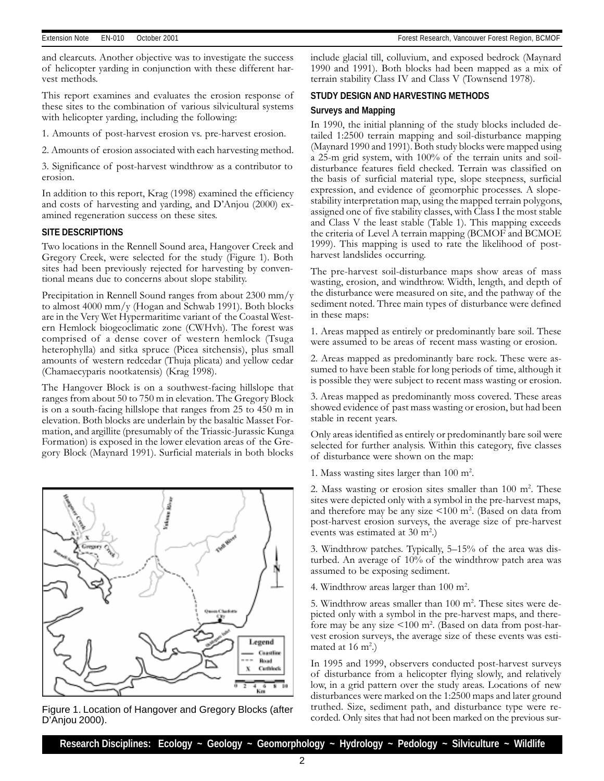Extension Note EN-010 October 2001 Forest Research, Vancouver Forest Region, BCMOF

and clearcuts. Another objective was to investigate the success of helicopter yarding in conjunction with these different harvest methods.

This report examines and evaluates the erosion response of these sites to the combination of various silvicultural systems with helicopter yarding, including the following:

1. Amounts of post-harvest erosion vs. pre-harvest erosion.

2. Amounts of erosion associated with each harvesting method.

3. Significance of post-harvest windthrow as a contributor to erosion.

In addition to this report, Krag (1998) examined the efficiency and costs of harvesting and yarding, and  $D'$ Anjou (2000) examined regeneration success on these sites.

# **SITE DESCRIPTIONS**

Two locations in the Rennell Sound area, Hangover Creek and Gregory Creek, were selected for the study (Figure 1). Both sites had been previously rejected for harvesting by conventional means due to concerns about slope stability.

Precipitation in Rennell Sound ranges from about 2300 mm/y to almost 4000 mm/y (Hogan and Schwab 1991). Both blocks are in the Very Wet Hypermaritime variant of the Coastal Western Hemlock biogeoclimatic zone (CWHvh). The forest was comprised of a dense cover of western hemlock (Tsuga heterophylla) and sitka spruce (Picea sitchensis), plus small amounts of western redcedar (Thuja plicata) and yellow cedar (Chamaecyparis nootkatensis) (Krag 1998).

The Hangover Block is on a southwest-facing hillslope that ranges from about 50 to 750 m in elevation. The Gregory Block is on a south-facing hillslope that ranges from 25 to 450 m in elevation. Both blocks are underlain by the basaltic Masset Formation, and argillite (presumably of the Triassic-Jurassic Kunga Formation) is exposed in the lower elevation areas of the Gregory Block (Maynard 1991). Surficial materials in both blocks



D'Anjou 2000).

include glacial till, colluvium, and exposed bedrock (Maynard 1990 and 1991). Both blocks had been mapped as a mix of terrain stability Class IV and Class V (Townsend 1978).

# **STUDY DESIGN AND HARVESTING METHODS**

# **Surveys and Mapping**

In 1990, the initial planning of the study blocks included detailed 1:2500 terrain mapping and soil-disturbance mapping (Maynard 1990 and 1991). Both study blocks were mapped using a 25-m grid system, with 100% of the terrain units and soildisturbance features field checked. Terrain was classified on the basis of surficial material type, slope steepness, surficial expression, and evidence of geomorphic processes. A slopestability interpretation map, using the mapped terrain polygons, assigned one of five stability classes, with Class I the most stable and Class V the least stable (Table 1). This mapping exceeds the criteria of Level A terrain mapping (BCMOF and BCMOE 1999). This mapping is used to rate the likelihood of postharvest landslides occurring.

The pre-harvest soil-disturbance maps show areas of mass wasting, erosion, and windthrow. Width, length, and depth of the disturbance were measured on site, and the pathway of the sediment noted. Three main types of disturbance were defined in these maps:

1. Areas mapped as entirely or predominantly bare soil. These were assumed to be areas of recent mass wasting or erosion.

2. Areas mapped as predominantly bare rock. These were assumed to have been stable for long periods of time, although it is possible they were subject to recent mass wasting or erosion.

3. Areas mapped as predominantly moss covered. These areas showed evidence of past mass wasting or erosion, but had been stable in recent years.

Only areas identified as entirely or predominantly bare soil were selected for further analysis. Within this category, five classes of disturbance were shown on the map:

1. Mass wasting sites larger than  $100 \text{ m}^2$ .

2. Mass wasting or erosion sites smaller than 100 m<sup>2</sup>. These sites were depicted only with a symbol in the pre-harvest maps, and therefore may be any size  $\leq 100$  m<sup>2</sup>. (Based on data from post-harvest erosion surveys, the average size of pre-harvest events was estimated at  $30 \text{ m}^2$ .)

3. Windthrow patches. Typically, 5–15% of the area was disturbed. An average of 10% of the windthrow patch area was assumed to be exposing sediment.

4. Windthrow areas larger than  $100 \text{ m}^2$ .

5. Windthrow areas smaller than  $100 \text{ m}^2$ . These sites were depicted only with a symbol in the pre-harvest maps, and therefore may be any size <100 m<sup>2</sup>. (Based on data from post-harvest erosion surveys, the average size of these events was estimated at 16  $m^2$ .)

In 1995 and 1999, observers conducted post-harvest surveys of disturbance from a helicopter flying slowly, and relatively low, in a grid pattern over the study areas. Locations of new disturbances were marked on the 1:2500 maps and later ground truthed. Size, sediment path, and disturbance type were re-Figure 1. Location of Hangover and Gregory Blocks (after truthed. Size, sediment path, and disturbance type were re-<br>Corded. Only sites that had not been marked on the previous sur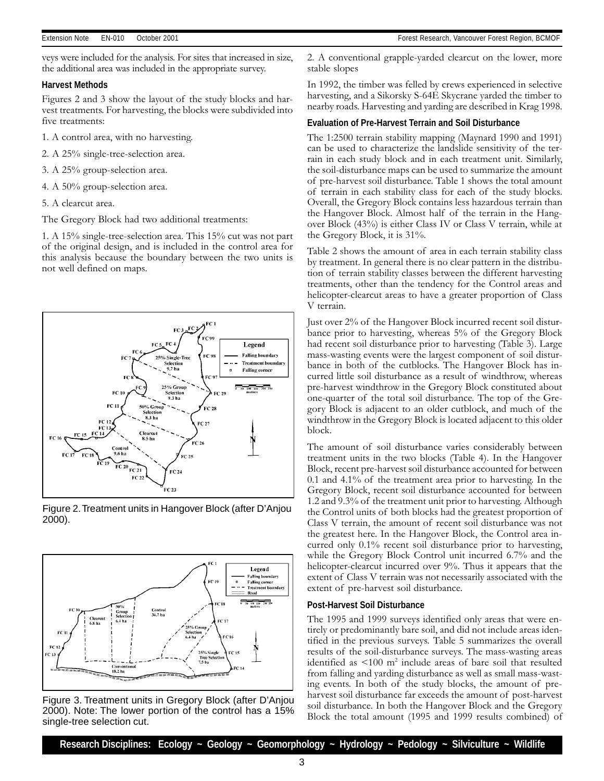veys were included for the analysis. For sites that increased in size, the additional area was included in the appropriate survey.

#### **Harvest Methods**

Figures 2 and 3 show the layout of the study blocks and harvest treatments. For harvesting, the blocks were subdivided into five treatments:

1. A control area, with no harvesting.

- 2. A 25% single-tree-selection area.
- 3. A 25% group-selection area.
- 4. A 50% group-selection area.
- 5. A clearcut area.

The Gregory Block had two additional treatments:

1. A 15% single-tree-selection area. This 15% cut was not part of the original design, and is included in the control area for this analysis because the boundary between the two units is not well defined on maps.



Figure 2. Treatment units in Hangover Block (after D'Anjou 2000).



Figure 3. Treatment units in Gregory Block (after D'Anjou 2000). Note: The lower portion of the control has a 15% single-tree selection cut.

2. A conventional grapple-yarded clearcut on the lower, more stable slopes

In 1992, the timber was felled by crews experienced in selective harvesting, and a Sikorsky S-64E Skycrane yarded the timber to nearby roads. Harvesting and yarding are described in Krag 1998.

#### **Evaluation of Pre-Harvest Terrain and Soil Disturbance**

The 1:2500 terrain stability mapping (Maynard 1990 and 1991) can be used to characterize the landslide sensitivity of the terrain in each study block and in each treatment unit. Similarly, the soil-disturbance maps can be used to summarize the amount of pre-harvest soil disturbance. Table 1 shows the total amount of terrain in each stability class for each of the study blocks. Overall, the Gregory Block contains less hazardous terrain than the Hangover Block. Almost half of the terrain in the Hangover Block (43%) is either Class IV or Class V terrain, while at the Gregory Block, it is 31%.

Table 2 shows the amount of area in each terrain stability class by treatment. In general there is no clear pattern in the distribution of terrain stability classes between the different harvesting treatments, other than the tendency for the Control areas and helicopter-clearcut areas to have a greater proportion of Class V terrain.

Just over 2% of the Hangover Block incurred recent soil disturbance prior to harvesting, whereas 5% of the Gregory Block had recent soil disturbance prior to harvesting (Table 3). Large mass-wasting events were the largest component of soil disturbance in both of the cutblocks. The Hangover Block has incurred little soil disturbance as a result of windthrow, whereas pre-harvest windthrow in the Gregory Block constituted about one-quarter of the total soil disturbance. The top of the Gregory Block is adjacent to an older cutblock, and much of the windthrow in the Gregory Block is located adjacent to this older block.

The amount of soil disturbance varies considerably between treatment units in the two blocks (Table 4). In the Hangover Block, recent pre-harvest soil disturbance accounted for between 0.1 and 4.1% of the treatment area prior to harvesting. In the Gregory Block, recent soil disturbance accounted for between 1.2 and 9.3% of the treatment unit prior to harvesting. Although the Control units of both blocks had the greatest proportion of Class V terrain, the amount of recent soil disturbance was not the greatest here. In the Hangover Block, the Control area incurred only 0.1% recent soil disturbance prior to harvesting, while the Gregory Block Control unit incurred 6.7% and the helicopter-clearcut incurred over 9%. Thus it appears that the extent of Class V terrain was not necessarily associated with the extent of pre-harvest soil disturbance.

#### **Post-Harvest Soil Disturbance**

The 1995 and 1999 surveys identified only areas that were entirely or predominantly bare soil, and did not include areas identified in the previous surveys. Table 5 summarizes the overall results of the soil-disturbance surveys. The mass-wasting areas identified as  $\leq 100$  m<sup>2</sup> include areas of bare soil that resulted from falling and yarding disturbance as well as small mass-wasting events. In both of the study blocks, the amount of preharvest soil disturbance far exceeds the amount of post-harvest soil disturbance. In both the Hangover Block and the Gregory Block the total amount (1995 and 1999 results combined) of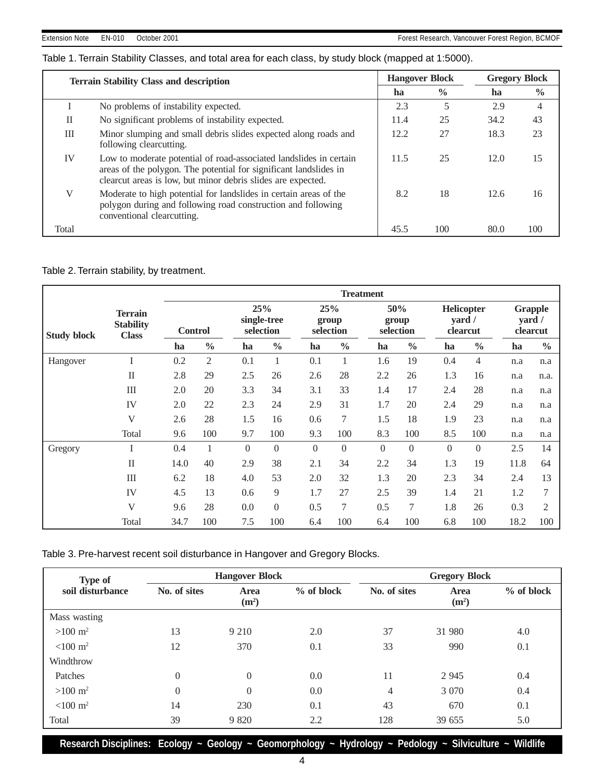# Table 1. Terrain Stability Classes, and total area for each class, by study block (mapped at 1:5000).

|       | <b>Terrain Stability Class and description</b>                                                                                                                                                          | <b>Hangover Block</b> |               |      | <b>Gregory Block</b> |  |
|-------|---------------------------------------------------------------------------------------------------------------------------------------------------------------------------------------------------------|-----------------------|---------------|------|----------------------|--|
|       |                                                                                                                                                                                                         | ha                    | $\frac{0}{0}$ | ha   | $\frac{0}{0}$        |  |
|       | No problems of instability expected.                                                                                                                                                                    | 2.3                   | 5             | 2.9  | 4                    |  |
| П     | No significant problems of instability expected.                                                                                                                                                        | 11.4                  | 25            | 34.2 | 43                   |  |
| III   | Minor slumping and small debris slides expected along roads and<br>following clearcutting.                                                                                                              | 12.2                  | 27            | 18.3 | 23                   |  |
| IV    | Low to moderate potential of road-associated landslides in certain<br>areas of the polygon. The potential for significant landslides in<br>clearcut areas is low, but minor debris slides are expected. | 11.5                  | 25            | 12.0 | 15                   |  |
| V     | Moderate to high potential for landslides in certain areas of the<br>polygon during and following road construction and following<br>conventional clearcutting.                                         | 8.2                   | 18            | 12.6 | 16                   |  |
| Total |                                                                                                                                                                                                         | 45.5                  | 100           | 80.0 | 100                  |  |

# Table 2. Terrain stability, by treatment.

|                    |                                                    | <b>Treatment</b> |                |          |                                 |                  |               |                           |               |                                            |                |                                      |                |
|--------------------|----------------------------------------------------|------------------|----------------|----------|---------------------------------|------------------|---------------|---------------------------|---------------|--------------------------------------------|----------------|--------------------------------------|----------------|
| <b>Study block</b> | <b>Terrain</b><br><b>Stability</b><br><b>Class</b> | <b>Control</b>   |                |          | 25%<br>single-tree<br>selection | 25%<br>selection | group         | 50%<br>group<br>selection |               | Helicopter<br>$\varphi$ vard /<br>clearcut |                | <b>Grapple</b><br>yard /<br>clearcut |                |
|                    |                                                    | ha               | $\frac{0}{0}$  | ha       | $\frac{0}{0}$                   | ha               | $\frac{0}{0}$ | ha                        | $\frac{0}{0}$ | ha                                         | $\frac{0}{0}$  | ha                                   | $\frac{0}{0}$  |
| Hangover           |                                                    | 0.2              | $\mathfrak{2}$ | 0.1      |                                 | 0.1              | 1             | 1.6                       | 19            | 0.4                                        | $\overline{4}$ | n.a                                  | n.a            |
|                    | $\mathbf{I}$                                       | 2.8              | 29             | 2.5      | 26                              | 2.6              | 28            | 2.2                       | 26            | 1.3                                        | 16             | n.a                                  | n.a.           |
|                    | III                                                | 2.0              | 20             | 3.3      | 34                              | 3.1              | 33            | 1.4                       | 17            | 2.4                                        | 28             | n.a                                  | n.a            |
|                    | IV                                                 | 2.0              | 22             | 2.3      | 24                              | 2.9              | 31            | 1.7                       | 20            | 2.4                                        | 29             | n.a                                  | n.a            |
|                    | V                                                  | 2.6              | 28             | 1.5      | 16                              | 0.6              | 7             | 1.5                       | 18            | 1.9                                        | 23             | n.a                                  | n.a            |
|                    | Total                                              | 9.6              | 100            | 9.7      | 100                             | 9.3              | 100           | 8.3                       | 100           | 8.5                                        | 100            | n.a                                  | n.a            |
| Gregory            | I                                                  | 0.4              | 1              | $\Omega$ | $\Omega$                        | $\Omega$         | $\Omega$      | $\Omega$                  | $\Omega$      | $\Omega$                                   | $\Omega$       | 2.5                                  | 14             |
|                    | $\mathbf{I}$                                       | 14.0             | 40             | 2.9      | 38                              | 2.1              | 34            | 2.2                       | 34            | 1.3                                        | 19             | 11.8                                 | 64             |
|                    | III                                                | 6.2              | 18             | 4.0      | 53                              | 2.0              | 32            | 1.3                       | 20            | 2.3                                        | 34             | 2.4                                  | 13             |
|                    | IV                                                 | 4.5              | 13             | 0.6      | 9                               | 1.7              | 27            | 2.5                       | 39            | 1.4                                        | 21             | 1.2                                  | 7              |
|                    | V                                                  | 9.6              | 28             | 0.0      | $\Omega$                        | 0.5              | 7             | 0.5                       | 7             | 1.8                                        | 26             | 0.3                                  | $\mathfrak{2}$ |
|                    | Total                                              | 34.7             | 100            | 7.5      | 100                             | 6.4              | 100           | 6.4                       | 100           | 6.8                                        | 100            | 18.2                                 | 100            |

|  |  |  |  |  | Table 3. Pre-harvest recent soil disturbance in Hangover and Gregory Blocks. |
|--|--|--|--|--|------------------------------------------------------------------------------|
|--|--|--|--|--|------------------------------------------------------------------------------|

| Type of                 |              | <b>Hangover Block</b>     |              | <b>Gregory Block</b> |                                  |              |  |
|-------------------------|--------------|---------------------------|--------------|----------------------|----------------------------------|--------------|--|
| soil disturbance        | No. of sites | Area<br>(m <sup>2</sup> ) | $%$ of block | No. of sites         | <b>Area</b><br>(m <sup>2</sup> ) | $%$ of block |  |
| Mass wasting            |              |                           |              |                      |                                  |              |  |
| $>100 \; \mathrm{m}^2$  | 13           | 9 2 1 0                   | 2.0          | 37                   | 31 980                           | 4.0          |  |
| $< 100 \; \mathrm{m}^2$ | 12           | 370                       | 0.1          | 33                   | 990                              | 0.1          |  |
| Windthrow               |              |                           |              |                      |                                  |              |  |
| Patches                 | $\theta$     | $\overline{0}$            | 0.0          | 11                   | 2 9 4 5                          | 0.4          |  |
| $>100 \; \mathrm{m}^2$  | $\theta$     | $\theta$                  | 0.0          | 4                    | 3 0 7 0                          | 0.4          |  |
| $< 100 \text{ m}^2$     | 14           | 230                       | 0.1          | 43                   | 670                              | 0.1          |  |
| Total                   | 39           | 9 8 2 0                   | 2.2          | 128                  | 39 655                           | 5.0          |  |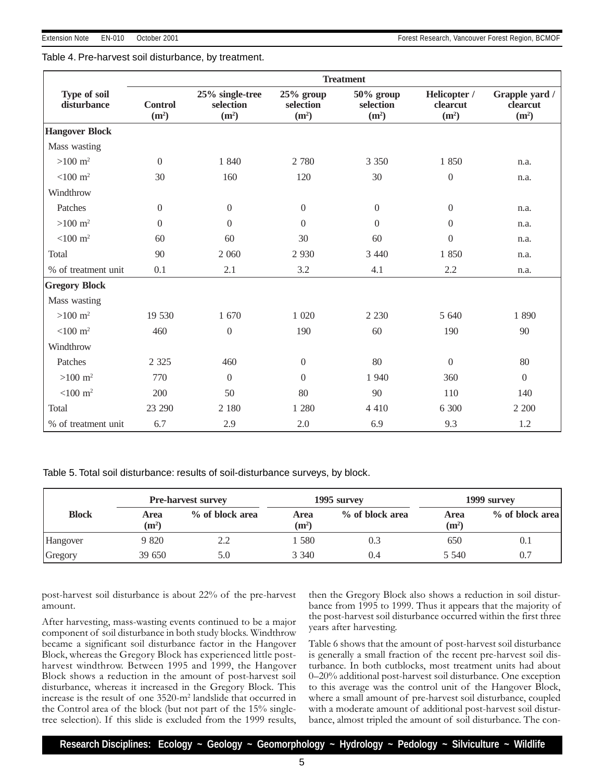# Table 4. Pre-harvest soil disturbance, by treatment.

|                             | <b>Treatment</b>                    |                                                   |                                               |                                             |                                               |                                                 |  |
|-----------------------------|-------------------------------------|---------------------------------------------------|-----------------------------------------------|---------------------------------------------|-----------------------------------------------|-------------------------------------------------|--|
| Type of soil<br>disturbance | <b>Control</b><br>(m <sup>2</sup> ) | 25% single-tree<br>selection<br>(m <sup>2</sup> ) | $25%$ group<br>selection<br>(m <sup>2</sup> ) | 50% group<br>selection<br>(m <sup>2</sup> ) | Helicopter /<br>clearcut<br>(m <sup>2</sup> ) | Grapple yard /<br>clearcut<br>(m <sup>2</sup> ) |  |
| <b>Hangover Block</b>       |                                     |                                                   |                                               |                                             |                                               |                                                 |  |
| Mass wasting                |                                     |                                                   |                                               |                                             |                                               |                                                 |  |
| $>100 \; \mathrm{m}^2$      | $\theta$                            | 1 840                                             | 2 7 8 0                                       | 3 3 5 0                                     | 1 850                                         | n.a.                                            |  |
| $<$ 100 m <sup>2</sup>      | 30                                  | 160                                               | 120                                           | 30                                          | $\boldsymbol{0}$                              | n.a.                                            |  |
| Windthrow                   |                                     |                                                   |                                               |                                             |                                               |                                                 |  |
| Patches                     | $\overline{0}$                      | $\overline{0}$                                    | $\mathbf{0}$                                  | $\boldsymbol{0}$                            | $\mathbf{0}$                                  | n.a.                                            |  |
| $>100 \; \mathrm{m}^2$      | $\Omega$                            | $\Omega$                                          | $\Omega$                                      | $\overline{0}$                              | $\Omega$                                      | n.a.                                            |  |
| $< 100 \text{ m}^2$         | 60                                  | 60                                                | 30                                            | 60                                          | $\overline{0}$                                | n.a.                                            |  |
| Total                       | 90                                  | 2 0 6 0                                           | 2 9 3 0                                       | 3 4 4 0                                     | 1850                                          | n.a.                                            |  |
| % of treatment unit         | 0.1                                 | 2.1                                               | 3.2                                           | 4.1                                         | 2.2                                           | n.a.                                            |  |
| <b>Gregory Block</b>        |                                     |                                                   |                                               |                                             |                                               |                                                 |  |
| Mass wasting                |                                     |                                                   |                                               |                                             |                                               |                                                 |  |
| $>100 \; \mathrm{m}^2$      | 19 530                              | 1 670                                             | 1 0 20                                        | 2 2 3 0                                     | 5 640                                         | 1890                                            |  |
| $< 100 \text{ m}^2$         | 460                                 | $\overline{0}$                                    | 190                                           | 60                                          | 190                                           | 90                                              |  |
| Windthrow                   |                                     |                                                   |                                               |                                             |                                               |                                                 |  |
| Patches                     | 2 3 2 5                             | 460                                               | $\boldsymbol{0}$                              | 80                                          | $\overline{0}$                                | 80                                              |  |
| $>100 \; \mathrm{m}^2$      | 770                                 | $\Omega$                                          | $\Omega$                                      | 1 940                                       | 360                                           | $\overline{0}$                                  |  |
| $<$ 100 m <sup>2</sup>      | 200                                 | 50                                                | 80                                            | 90                                          | 110                                           | 140                                             |  |
| Total                       | 23 290                              | 2 180                                             | 1 2 8 0                                       | 4 4 1 0                                     | 6 300                                         | 2 200                                           |  |
| % of treatment unit         | 6.7                                 | 2.9                                               | 2.0                                           | 6.9                                         | 9.3                                           | 1.2                                             |  |

Table 5. Total soil disturbance: results of soil-disturbance surveys, by block.

|              | <b>Pre-harvest survey</b> |                 |                           | 1995 survey     | 1999 survey               |                 |  |
|--------------|---------------------------|-----------------|---------------------------|-----------------|---------------------------|-----------------|--|
| <b>Block</b> | Area<br>(m <sup>2</sup> ) | % of block area | Area<br>(m <sup>2</sup> ) | % of block area | Area<br>(m <sup>2</sup> ) | % of block area |  |
| Hangover     | 9 820                     | 2.2             | 580                       | 0.3             | 650                       | 0.1             |  |
| Gregory      | 39 650                    | 5.0             | 3 3 4 0                   | 0.4             | 5 5 4 0                   | 0.7             |  |

post-harvest soil disturbance is about 22% of the pre-harvest amount.

After harvesting, mass-wasting events continued to be a major component of soil disturbance in both study blocks. Windthrow became a significant soil disturbance factor in the Hangover Block, whereas the Gregory Block has experienced little postharvest windthrow. Between 1995 and 1999, the Hangover Block shows a reduction in the amount of post-harvest soil disturbance, whereas it increased in the Gregory Block. This increase is the result of one 3520-m2 landslide that occurred in the Control area of the block (but not part of the 15% singletree selection). If this slide is excluded from the 1999 results,

then the Gregory Block also shows a reduction in soil disturbance from 1995 to 1999. Thus it appears that the majority of the post-harvest soil disturbance occurred within the first three years after harvesting.

Table 6 shows that the amount of post-harvest soil disturbance is generally a small fraction of the recent pre-harvest soil disturbance. In both cutblocks, most treatment units had about 0-20% additional post-harvest soil disturbance. One exception to this average was the control unit of the Hangover Block, where a small amount of pre-harvest soil disturbance, coupled with a moderate amount of additional post-harvest soil disturbance, almost tripled the amount of soil disturbance. The con-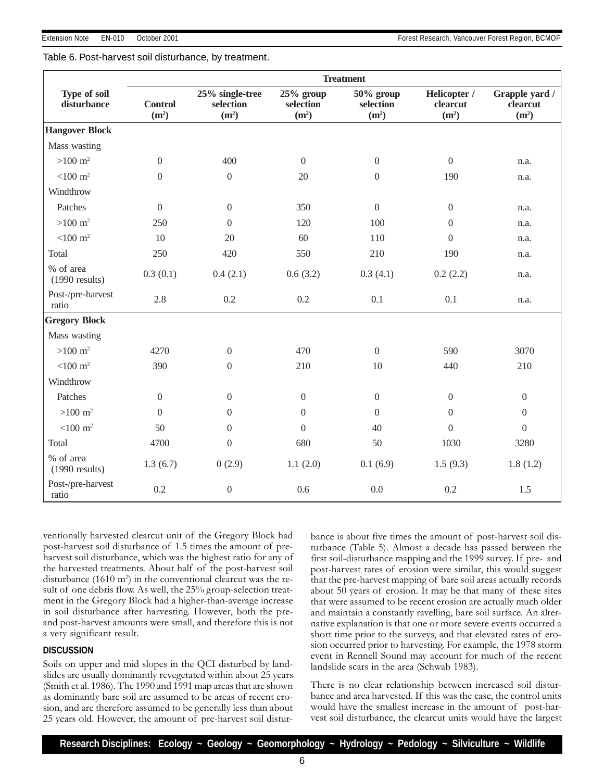Table 6. Post-harvest soil disturbance, by treatment.

| <b>Treatment</b>              |                                     |                                                   |                                               |                                                |                                               |                                                 |
|-------------------------------|-------------------------------------|---------------------------------------------------|-----------------------------------------------|------------------------------------------------|-----------------------------------------------|-------------------------------------------------|
| Type of soil<br>disturbance   | <b>Control</b><br>(m <sup>2</sup> ) | 25% single-tree<br>selection<br>(m <sup>2</sup> ) | $25%$ group<br>selection<br>(m <sup>2</sup> ) | $50\%$ group<br>selection<br>(m <sup>2</sup> ) | Helicopter /<br>clearcut<br>(m <sup>2</sup> ) | Grapple yard /<br>clearcut<br>(m <sup>2</sup> ) |
| <b>Hangover Block</b>         |                                     |                                                   |                                               |                                                |                                               |                                                 |
| Mass wasting                  |                                     |                                                   |                                               |                                                |                                               |                                                 |
| $>100 \; \mathrm{m}^2$        | $\boldsymbol{0}$                    | 400                                               | $\overline{0}$                                | $\boldsymbol{0}$                               | $\boldsymbol{0}$                              | n.a.                                            |
| $<$ 100 m <sup>2</sup>        | $\overline{0}$                      | $\overline{0}$                                    | 20                                            | $\boldsymbol{0}$                               | 190                                           | n.a.                                            |
| Windthrow                     |                                     |                                                   |                                               |                                                |                                               |                                                 |
| Patches                       | $\boldsymbol{0}$                    | $\boldsymbol{0}$                                  | 350                                           | $\boldsymbol{0}$                               | $\boldsymbol{0}$                              | n.a.                                            |
| $>100 \; \mathrm{m}^2$        | 250                                 | $\overline{0}$                                    | 120                                           | 100                                            | $\Omega$                                      | n.a.                                            |
| $<$ 100 m <sup>2</sup>        | 10                                  | 20                                                | 60                                            | 110                                            | $\Omega$                                      | n.a.                                            |
| Total                         | 250                                 | 420                                               | 550                                           | 210                                            | 190                                           | n.a.                                            |
| % of area<br>$(1990$ results) | 0.3(0.1)                            | 0.4(2.1)                                          | 0.6(3.2)                                      | 0.3(4.1)                                       | 0.2(2.2)                                      | n.a.                                            |
| Post-/pre-harvest<br>ratio    | 2.8                                 | 0.2                                               | 0.2                                           | 0.1                                            | 0.1                                           | n.a.                                            |
| <b>Gregory Block</b>          |                                     |                                                   |                                               |                                                |                                               |                                                 |
| Mass wasting                  |                                     |                                                   |                                               |                                                |                                               |                                                 |
| $>100 \; \mathrm{m}^2$        | 4270                                | $\mathbf{0}$                                      | 470                                           | $\boldsymbol{0}$                               | 590                                           | 3070                                            |
| $<$ 100 m <sup>2</sup>        | 390                                 | $\overline{0}$                                    | 210                                           | 10                                             | 440                                           | 210                                             |
| Windthrow                     |                                     |                                                   |                                               |                                                |                                               |                                                 |
| Patches                       | $\Omega$                            | $\overline{0}$                                    | $\overline{0}$                                | $\boldsymbol{0}$                               | $\boldsymbol{0}$                              | $\mathbf{0}$                                    |
| $>100 \; \mathrm{m}^2$        | $\Omega$                            | $\Omega$                                          | $\Omega$                                      | $\boldsymbol{0}$                               | $\Omega$                                      | $\mathbf{0}$                                    |
| $<$ 100 m <sup>2</sup>        | 50                                  | $\overline{0}$                                    | $\mathbf{0}$                                  | 40                                             | $\overline{0}$                                | $\mathbf{0}$                                    |
| Total                         | 4700                                | $\boldsymbol{0}$                                  | 680                                           | 50                                             | 1030                                          | 3280                                            |
| % of area<br>$(1990$ results) | 1.3(6.7)                            | 0(2.9)                                            | 1.1(2.0)                                      | 0.1(6.9)                                       | 1.5(9.3)                                      | 1.8(1.2)                                        |
| Post-/pre-harvest<br>ratio    | 0.2                                 | $\overline{0}$                                    | 0.6                                           | 0.0                                            | 0.2                                           | 1.5                                             |

ventionally harvested clearcut unit of the Gregory Block had post-harvest soil disturbance of 1.5 times the amount of preharvest soil disturbance, which was the highest ratio for any of the harvested treatments. About half of the post-harvest soil disturbance  $(1610 \text{ m}^2)$  in the conventional clearcut was the result of one debris flow. As well, the 25% group-selection treatment in the Gregory Block had a higher-than-average increase in soil disturbance after harvesting. However, both the preand post-harvest amounts were small, and therefore this is not a very significant result.

# **DISCUSSION**

Soils on upper and mid slopes in the QCI disturbed by landslides are usually dominantly revegetated within about 25 years (Smith et al. 1986). The 1990 and 1991 map areas that are shown as dominantly bare soil are assumed to be areas of recent erosion, and are therefore assumed to be generally less than about 25 years old. However, the amount of pre-harvest soil disturbance is about five times the amount of post-harvest soil disturbance (Table 5). Almost a decade has passed between the first soil-disturbance mapping and the 1999 survey. If pre- and post-harvest rates of erosion were similar, this would suggest that the pre-harvest mapping of bare soil areas actually records about 50 years of erosion. It may be that many of these sites that were assumed to be recent erosion are actually much older and maintain a constantly ravelling, bare soil surface. An alternative explanation is that one or more severe events occurred a short time prior to the surveys, and that elevated rates of erosion occurred prior to harvesting. For example, the 1978 storm event in Rennell Sound may account for much of the recent landslide scars in the area (Schwab 1983).

There is no clear relationship between increased soil disturbance and area harvested. If this was the case, the control units would have the smallest increase in the amount of post-harvest soil disturbance, the clearcut units would have the largest

6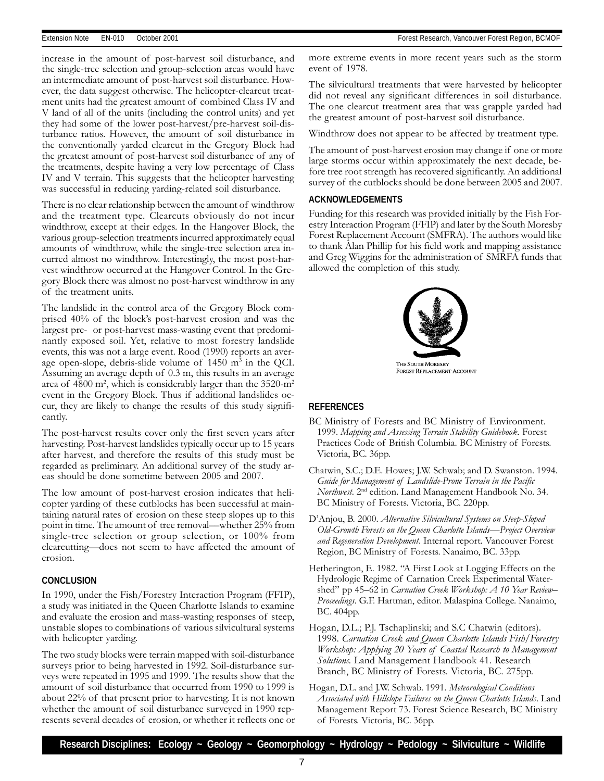increase in the amount of post-harvest soil disturbance, and the single-tree selection and group-selection areas would have an intermediate amount of post-harvest soil disturbance. However, the data suggest otherwise. The helicopter-clearcut treatment units had the greatest amount of combined Class IV and V land of all of the units (including the control units) and yet they had some of the lower post-harvest/pre-harvest soil-disturbance ratios. However, the amount of soil disturbance in the conventionally yarded clearcut in the Gregory Block had the greatest amount of post-harvest soil disturbance of any of the treatments, despite having a very low percentage of Class IV and V terrain. This suggests that the helicopter harvesting was successful in reducing yarding-related soil disturbance.

There is no clear relationship between the amount of windthrow and the treatment type. Clearcuts obviously do not incur windthrow, except at their edges. In the Hangover Block, the various group-selection treatments incurred approximately equal amounts of windthrow, while the single-tree selection area incurred almost no windthrow. Interestingly, the most post-harvest windthrow occurred at the Hangover Control. In the Gregory Block there was almost no post-harvest windthrow in any of the treatment units.

The landslide in the control area of the Gregory Block comprised  $40\%$  of the block's post-harvest erosion and was the largest pre- or post-harvest mass-wasting event that predominantly exposed soil. Yet, relative to most forestry landslide events, this was not a large event. Rood (1990) reports an average open-slope, debris-slide volume of 1450 m<sup>3</sup> in the QCI. Assuming an average depth of 0.3 m, this results in an average area of 4800 m², which is considerably larger than the 3520-m² event in the Gregory Block. Thus if additional landslides occur, they are likely to change the results of this study significantly.

The post-harvest results cover only the first seven years after harvesting. Post-harvest landslides typically occur up to 15 years after harvest, and therefore the results of this study must be regarded as preliminary. An additional survey of the study areas should be done sometime between 2005 and 2007.

The low amount of post-harvest erosion indicates that helicopter yarding of these cutblocks has been successful at maintaining natural rates of erosion on these steep slopes up to this point in time. The amount of tree removal—whether 25% from single-tree selection or group selection, or 100% from clearcutting-does not seem to have affected the amount of erosion.

#### **CONCLUSION**

In 1990, under the Fish/Forestry Interaction Program (FFIP), a study was initiated in the Queen Charlotte Islands to examine and evaluate the erosion and mass-wasting responses of steep, unstable slopes to combinations of various silvicultural systems with helicopter yarding.

The two study blocks were terrain mapped with soil-disturbance surveys prior to being harvested in 1992. Soil-disturbance surveys were repeated in 1995 and 1999. The results show that the amount of soil disturbance that occurred from 1990 to 1999 is about 22% of that present prior to harvesting. It is not known whether the amount of soil disturbance surveyed in 1990 represents several decades of erosion, or whether it reflects one or more extreme events in more recent years such as the storm event of 1978.

The silvicultural treatments that were harvested by helicopter did not reveal any significant differences in soil disturbance. The one clearcut treatment area that was grapple yarded had the greatest amount of post-harvest soil disturbance.

Windthrow does not appear to be affected by treatment type.

The amount of post-harvest erosion may change if one or more large storms occur within approximately the next decade, before tree root strength has recovered significantly. An additional survey of the cutblocks should be done between 2005 and 2007.

#### **ACKNOWLEDGEMENTS**

Funding for this research was provided initially by the Fish Forestry Interaction Program (FFIP) and later by the South Moresby Forest Replacement Account (SMFRA). The authors would like to thank Alan Phillip for his field work and mapping assistance and Greg Wiggins for the administration of SMRFA funds that allowed the completion of this study.



#### **REFERENCES**

- BC Ministry of Forests and BC Ministry of Environment. 1999. Mapping and Assessing Terrain Stability Guidebook. Forest Practices Code of British Columbia. BC Ministry of Forests. Victoria, BC. 36pp.
- Chatwin, S.C.; D.E. Howes; J.W. Schwab; and D. Swanston. 1994. Guide for Management of Landslide-Prone Terrain in the Pacific Northwest. 2<sup>nd</sup> edition. Land Management Handbook No. 34. BC Ministry of Forests. Victoria, BC. 220pp.
- D'Anjou, B. 2000. Alternative Silvicultural Systems on Steep-Sloped Old-Growth Forests on the Queen Charlotte Islands—Project Overview and Regeneration Development. Internal report. Vancouver Forest Region, BC Ministry of Forests. Nanaimo, BC. 33pp.
- Hetherington, E. 1982. "A First Look at Logging Effects on the Hydrologic Regime of Carnation Creek Experimental Watershed" pp 45–62 in Carnation Creek Workshop: A 10 Year Review– Proceedings. G.F. Hartman, editor. Malaspina College. Nanaimo, BC. 404pp.
- Hogan, D.L.; P.J. Tschaplinski; and S.C Chatwin (editors). 1998. Carnation Creek and Queen Charlotte Islands Fish/Forestry Workshop: Applying 20 Years of Coastal Research to Management Solutions. Land Management Handbook 41. Research Branch, BC Ministry of Forests. Victoria, BC. 275pp.
- Hogan, D.L. and J.W. Schwab. 1991. Meteorological Conditions Associated with Hillslope Failures on the Queen Charlotte Islands. Land Management Report 73. Forest Science Research, BC Ministry of Forests. Victoria, BC. 36pp.